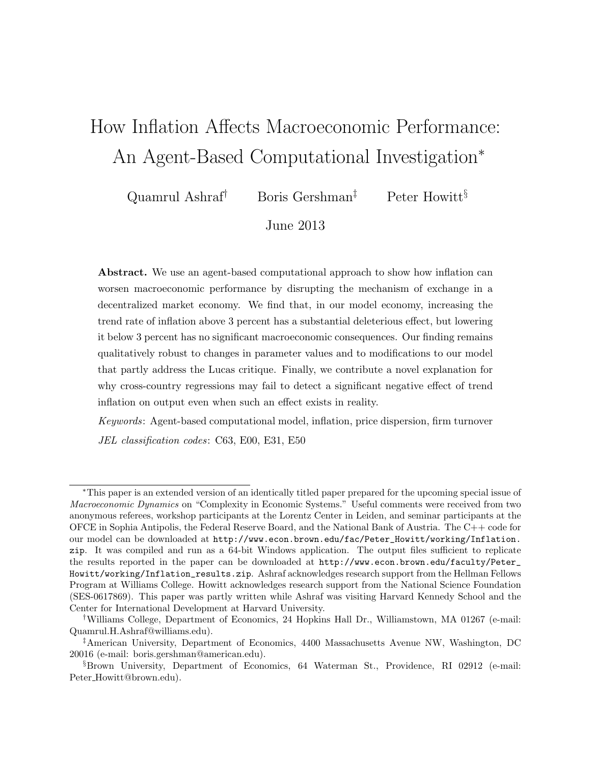# How Inflation Affects Macroeconomic Performance: An Agent-Based Computational Investigation<sup>∗</sup>

Quamrul Ashraf<sup>†</sup> Boris Gershman<sup>‡</sup> Peter Howitt<sup>§</sup>

June 2013

Abstract. We use an agent-based computational approach to show how inflation can worsen macroeconomic performance by disrupting the mechanism of exchange in a decentralized market economy. We find that, in our model economy, increasing the trend rate of inflation above 3 percent has a substantial deleterious effect, but lowering it below 3 percent has no significant macroeconomic consequences. Our finding remains qualitatively robust to changes in parameter values and to modifications to our model that partly address the Lucas critique. Finally, we contribute a novel explanation for why cross-country regressions may fail to detect a significant negative effect of trend inflation on output even when such an effect exists in reality.

Keywords: Agent-based computational model, inflation, price dispersion, firm turnover JEL classification codes: C63, E00, E31, E50

<sup>∗</sup>This paper is an extended version of an identically titled paper prepared for the upcoming special issue of Macroeconomic Dynamics on "Complexity in Economic Systems." Useful comments were received from two anonymous referees, workshop participants at the Lorentz Center in Leiden, and seminar participants at the OFCE in Sophia Antipolis, the Federal Reserve Board, and the National Bank of Austria. The C++ code for our model can be downloaded at [http://www.econ.brown.edu/fac/Peter\\_Howitt/working/Inflation.](http://www.econ.brown.edu/fac/Peter_Howitt/working/Inflation.zip) [zip](http://www.econ.brown.edu/fac/Peter_Howitt/working/Inflation.zip). It was compiled and run as a 64-bit Windows application. The output files sufficient to replicate the results reported in the paper can be downloaded at [http://www.econ.brown.edu/faculty/Peter\\_](http://www.econ.brown.edu/faculty/Peter_Howitt/working/Inflation_results.zip) [Howitt/working/Inflation\\_results.zip](http://www.econ.brown.edu/faculty/Peter_Howitt/working/Inflation_results.zip). Ashraf acknowledges research support from the Hellman Fellows Program at Williams College. Howitt acknowledges research support from the National Science Foundation (SES-0617869). This paper was partly written while Ashraf was visiting Harvard Kennedy School and the Center for International Development at Harvard University.

<sup>†</sup>Williams College, Department of Economics, 24 Hopkins Hall Dr., Williamstown, MA 01267 (e-mail: [Quamrul.H.Ashraf@williams.edu\)](mailto:Quamrul.H.Ashraf@williams.edu).

<sup>‡</sup>American University, Department of Economics, 4400 Massachusetts Avenue NW, Washington, DC 20016 (e-mail: [boris.gershman@american.edu\)](mailto:boris.gershman@american.edu).

<sup>§</sup>Brown University, Department of Economics, 64 Waterman St., Providence, RI 02912 (e-mail: Peter [Howitt@brown.edu\)](mailto:Peter_Howitt@brown.edu).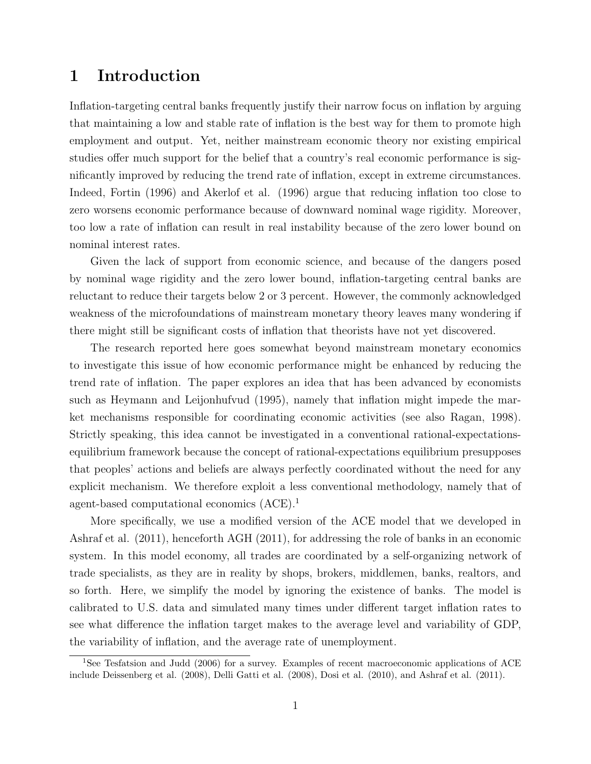## 1 Introduction

Inflation-targeting central banks frequently justify their narrow focus on inflation by arguing that maintaining a low and stable rate of inflation is the best way for them to promote high employment and output. Yet, neither mainstream economic theory nor existing empirical studies offer much support for the belief that a country's real economic performance is significantly improved by reducing the trend rate of inflation, except in extreme circumstances. Indeed, Fortin (1996) and Akerlof et al. (1996) argue that reducing inflation too close to zero worsens economic performance because of downward nominal wage rigidity. Moreover, too low a rate of inflation can result in real instability because of the zero lower bound on nominal interest rates.

Given the lack of support from economic science, and because of the dangers posed by nominal wage rigidity and the zero lower bound, inflation-targeting central banks are reluctant to reduce their targets below 2 or 3 percent. However, the commonly acknowledged weakness of the microfoundations of mainstream monetary theory leaves many wondering if there might still be significant costs of inflation that theorists have not yet discovered.

The research reported here goes somewhat beyond mainstream monetary economics to investigate this issue of how economic performance might be enhanced by reducing the trend rate of inflation. The paper explores an idea that has been advanced by economists such as Heymann and Leijonhufvud (1995), namely that inflation might impede the market mechanisms responsible for coordinating economic activities (see also Ragan, 1998). Strictly speaking, this idea cannot be investigated in a conventional rational-expectationsequilibrium framework because the concept of rational-expectations equilibrium presupposes that peoples' actions and beliefs are always perfectly coordinated without the need for any explicit mechanism. We therefore exploit a less conventional methodology, namely that of agent-based computational economics (ACE).[1](#page-1-0)

More specifically, we use a modified version of the ACE model that we developed in Ashraf et al. (2011), henceforth AGH (2011), for addressing the role of banks in an economic system. In this model economy, all trades are coordinated by a self-organizing network of trade specialists, as they are in reality by shops, brokers, middlemen, banks, realtors, and so forth. Here, we simplify the model by ignoring the existence of banks. The model is calibrated to U.S. data and simulated many times under different target inflation rates to see what difference the inflation target makes to the average level and variability of GDP, the variability of inflation, and the average rate of unemployment.

<span id="page-1-0"></span><sup>&</sup>lt;sup>1</sup>See Tesfatsion and Judd (2006) for a survey. Examples of recent macroeconomic applications of ACE include Deissenberg et al. (2008), Delli Gatti et al. (2008), Dosi et al. (2010), and Ashraf et al. (2011).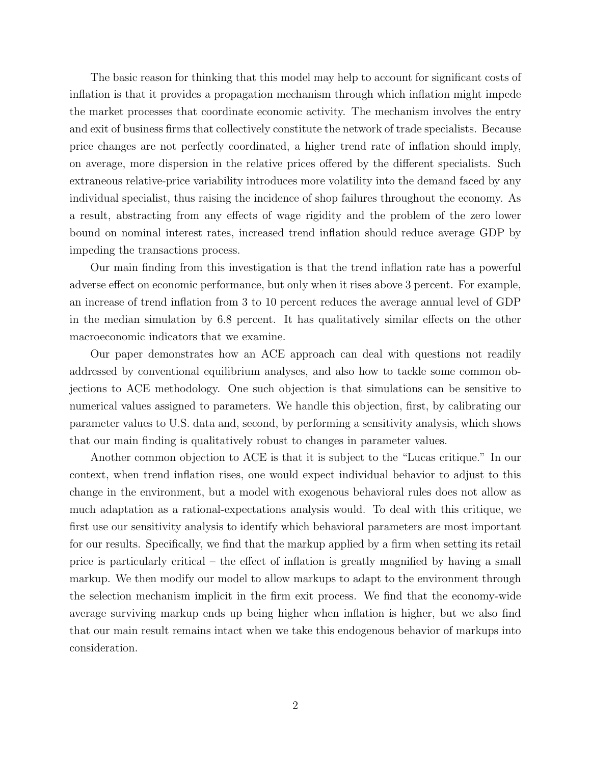The basic reason for thinking that this model may help to account for significant costs of inflation is that it provides a propagation mechanism through which inflation might impede the market processes that coordinate economic activity. The mechanism involves the entry and exit of business firms that collectively constitute the network of trade specialists. Because price changes are not perfectly coordinated, a higher trend rate of inflation should imply, on average, more dispersion in the relative prices offered by the different specialists. Such extraneous relative-price variability introduces more volatility into the demand faced by any individual specialist, thus raising the incidence of shop failures throughout the economy. As a result, abstracting from any effects of wage rigidity and the problem of the zero lower bound on nominal interest rates, increased trend inflation should reduce average GDP by impeding the transactions process.

Our main finding from this investigation is that the trend inflation rate has a powerful adverse effect on economic performance, but only when it rises above 3 percent. For example, an increase of trend inflation from 3 to 10 percent reduces the average annual level of GDP in the median simulation by 6.8 percent. It has qualitatively similar effects on the other macroeconomic indicators that we examine.

Our paper demonstrates how an ACE approach can deal with questions not readily addressed by conventional equilibrium analyses, and also how to tackle some common objections to ACE methodology. One such objection is that simulations can be sensitive to numerical values assigned to parameters. We handle this objection, first, by calibrating our parameter values to U.S. data and, second, by performing a sensitivity analysis, which shows that our main finding is qualitatively robust to changes in parameter values.

Another common objection to ACE is that it is subject to the "Lucas critique." In our context, when trend inflation rises, one would expect individual behavior to adjust to this change in the environment, but a model with exogenous behavioral rules does not allow as much adaptation as a rational-expectations analysis would. To deal with this critique, we first use our sensitivity analysis to identify which behavioral parameters are most important for our results. Specifically, we find that the markup applied by a firm when setting its retail price is particularly critical – the effect of inflation is greatly magnified by having a small markup. We then modify our model to allow markups to adapt to the environment through the selection mechanism implicit in the firm exit process. We find that the economy-wide average surviving markup ends up being higher when inflation is higher, but we also find that our main result remains intact when we take this endogenous behavior of markups into consideration.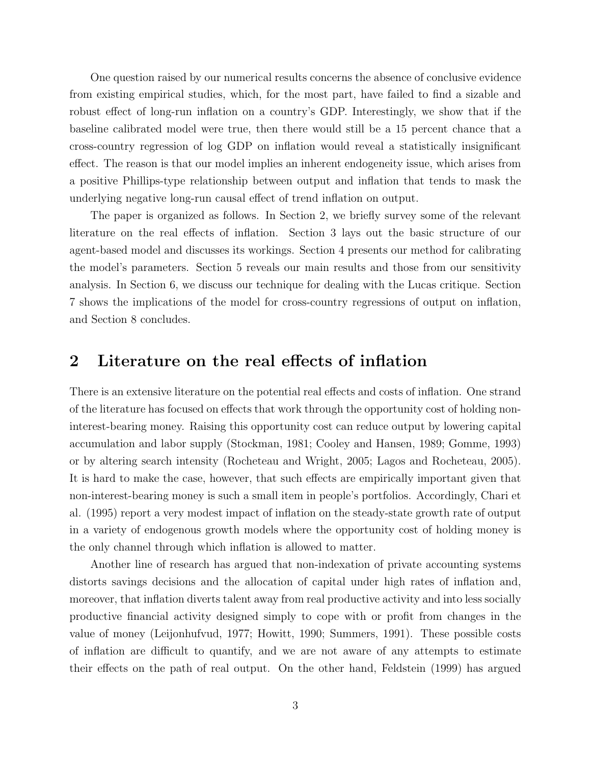One question raised by our numerical results concerns the absence of conclusive evidence from existing empirical studies, which, for the most part, have failed to find a sizable and robust effect of long-run inflation on a country's GDP. Interestingly, we show that if the baseline calibrated model were true, then there would still be a 15 percent chance that a cross-country regression of log GDP on inflation would reveal a statistically insignificant effect. The reason is that our model implies an inherent endogeneity issue, which arises from a positive Phillips-type relationship between output and inflation that tends to mask the underlying negative long-run causal effect of trend inflation on output.

The paper is organized as follows. In Section [2,](#page-3-0) we briefly survey some of the relevant literature on the real effects of inflation. Section [3](#page-4-0) lays out the basic structure of our agent-based model and discusses its workings. Section [4](#page-13-0) presents our method for calibrating the model's parameters. Section [5](#page-15-0) reveals our main results and those from our sensitivity analysis. In Section [6,](#page-20-0) we discuss our technique for dealing with the Lucas critique. Section [7](#page-22-0) shows the implications of the model for cross-country regressions of output on inflation, and Section [8](#page-24-0) concludes.

## <span id="page-3-0"></span>2 Literature on the real effects of inflation

There is an extensive literature on the potential real effects and costs of inflation. One strand of the literature has focused on effects that work through the opportunity cost of holding noninterest-bearing money. Raising this opportunity cost can reduce output by lowering capital accumulation and labor supply (Stockman, 1981; Cooley and Hansen, 1989; Gomme, 1993) or by altering search intensity (Rocheteau and Wright, 2005; Lagos and Rocheteau, 2005). It is hard to make the case, however, that such effects are empirically important given that non-interest-bearing money is such a small item in people's portfolios. Accordingly, Chari et al. (1995) report a very modest impact of inflation on the steady-state growth rate of output in a variety of endogenous growth models where the opportunity cost of holding money is the only channel through which inflation is allowed to matter.

Another line of research has argued that non-indexation of private accounting systems distorts savings decisions and the allocation of capital under high rates of inflation and, moreover, that inflation diverts talent away from real productive activity and into less socially productive financial activity designed simply to cope with or profit from changes in the value of money (Leijonhufvud, 1977; Howitt, 1990; Summers, 1991). These possible costs of inflation are difficult to quantify, and we are not aware of any attempts to estimate their effects on the path of real output. On the other hand, Feldstein (1999) has argued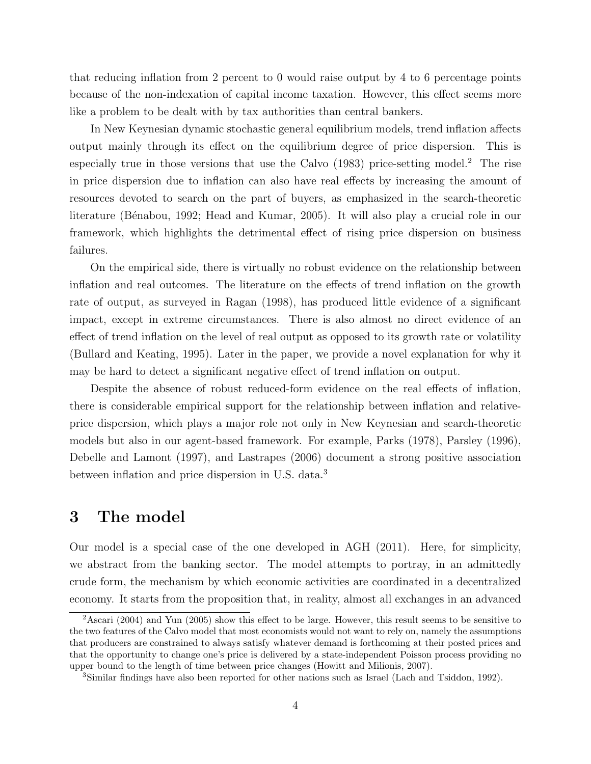that reducing inflation from 2 percent to 0 would raise output by 4 to 6 percentage points because of the non-indexation of capital income taxation. However, this effect seems more like a problem to be dealt with by tax authorities than central bankers.

In New Keynesian dynamic stochastic general equilibrium models, trend inflation affects output mainly through its effect on the equilibrium degree of price dispersion. This is especially true in those versions that use the Calvo  $(1983)$  price-setting model.<sup>[2](#page-4-1)</sup> The rise in price dispersion due to inflation can also have real effects by increasing the amount of resources devoted to search on the part of buyers, as emphasized in the search-theoretic literature (Bénabou, 1992; Head and Kumar, 2005). It will also play a crucial role in our framework, which highlights the detrimental effect of rising price dispersion on business failures.

On the empirical side, there is virtually no robust evidence on the relationship between inflation and real outcomes. The literature on the effects of trend inflation on the growth rate of output, as surveyed in Ragan (1998), has produced little evidence of a significant impact, except in extreme circumstances. There is also almost no direct evidence of an effect of trend inflation on the level of real output as opposed to its growth rate or volatility (Bullard and Keating, 1995). Later in the paper, we provide a novel explanation for why it may be hard to detect a significant negative effect of trend inflation on output.

Despite the absence of robust reduced-form evidence on the real effects of inflation, there is considerable empirical support for the relationship between inflation and relativeprice dispersion, which plays a major role not only in New Keynesian and search-theoretic models but also in our agent-based framework. For example, Parks (1978), Parsley (1996), Debelle and Lamont (1997), and Lastrapes (2006) document a strong positive association between inflation and price dispersion in U.S. data.[3](#page-4-2)

# <span id="page-4-0"></span>3 The model

Our model is a special case of the one developed in AGH (2011). Here, for simplicity, we abstract from the banking sector. The model attempts to portray, in an admittedly crude form, the mechanism by which economic activities are coordinated in a decentralized economy. It starts from the proposition that, in reality, almost all exchanges in an advanced

<span id="page-4-1"></span><sup>&</sup>lt;sup>2</sup>Ascari (2004) and Yun (2005) show this effect to be large. However, this result seems to be sensitive to the two features of the Calvo model that most economists would not want to rely on, namely the assumptions that producers are constrained to always satisfy whatever demand is forthcoming at their posted prices and that the opportunity to change one's price is delivered by a state-independent Poisson process providing no upper bound to the length of time between price changes (Howitt and Milionis, 2007).

<span id="page-4-2"></span><sup>3</sup>Similar findings have also been reported for other nations such as Israel (Lach and Tsiddon, 1992).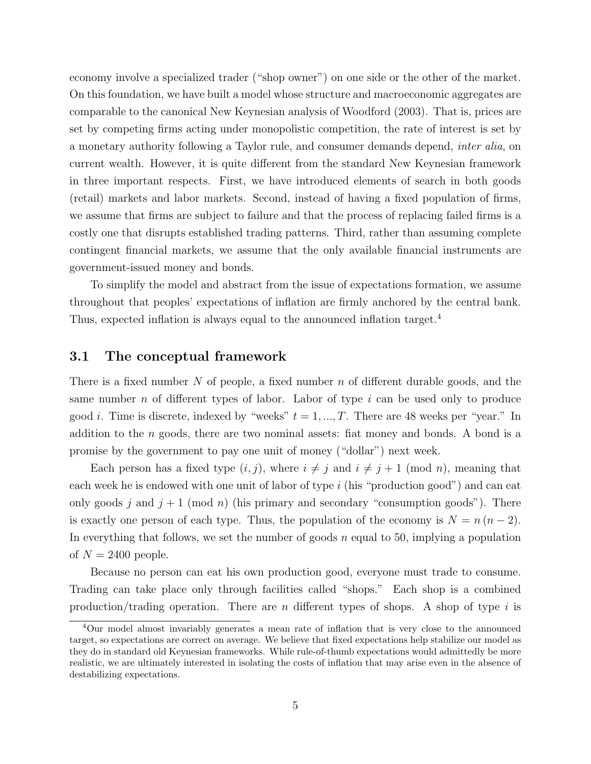economy involve a specialized trader ("shop owner") on one side or the other of the market. On this foundation, we have built a model whose structure and macroeconomic aggregates are comparable to the canonical New Keynesian analysis of Woodford (2003). That is, prices are set by competing firms acting under monopolistic competition, the rate of interest is set by a monetary authority following a Taylor rule, and consumer demands depend, inter alia, on current wealth. However, it is quite different from the standard New Keynesian framework in three important respects. First, we have introduced elements of search in both goods (retail) markets and labor markets. Second, instead of having a fixed population of firms, we assume that firms are subject to failure and that the process of replacing failed firms is a costly one that disrupts established trading patterns. Third, rather than assuming complete contingent financial markets, we assume that the only available financial instruments are government-issued money and bonds.

To simplify the model and abstract from the issue of expectations formation, we assume throughout that peoples' expectations of inflation are firmly anchored by the central bank. Thus, expected inflation is always equal to the announced inflation target.<sup>[4](#page-5-0)</sup>

#### 3.1 The conceptual framework

There is a fixed number N of people, a fixed number  $n$  of different durable goods, and the same number n of different types of labor. Labor of type  $i$  can be used only to produce good *i*. Time is discrete, indexed by "weeks"  $t = 1, ..., T$ . There are 48 weeks per "year." In addition to the  $n$  goods, there are two nominal assets: fiat money and bonds. A bond is a promise by the government to pay one unit of money ("dollar") next week.

Each person has a fixed type  $(i, j)$ , where  $i \neq j$  and  $i \neq j + 1$  (mod n), meaning that each week he is endowed with one unit of labor of type i (his "production good") and can eat only goods j and  $j + 1 \pmod{n}$  (his primary and secondary "consumption goods"). There is exactly one person of each type. Thus, the population of the economy is  $N = n (n - 2)$ . In everything that follows, we set the number of goods  $n$  equal to 50, implying a population of  $N = 2400$  people.

Because no person can eat his own production good, everyone must trade to consume. Trading can take place only through facilities called "shops." Each shop is a combined production/trading operation. There are n different types of shops. A shop of type i is

<span id="page-5-0"></span><sup>4</sup>Our model almost invariably generates a mean rate of inflation that is very close to the announced target, so expectations are correct on average. We believe that fixed expectations help stabilize our model as they do in standard old Keynesian frameworks. While rule-of-thumb expectations would admittedly be more realistic, we are ultimately interested in isolating the costs of inflation that may arise even in the absence of destabilizing expectations.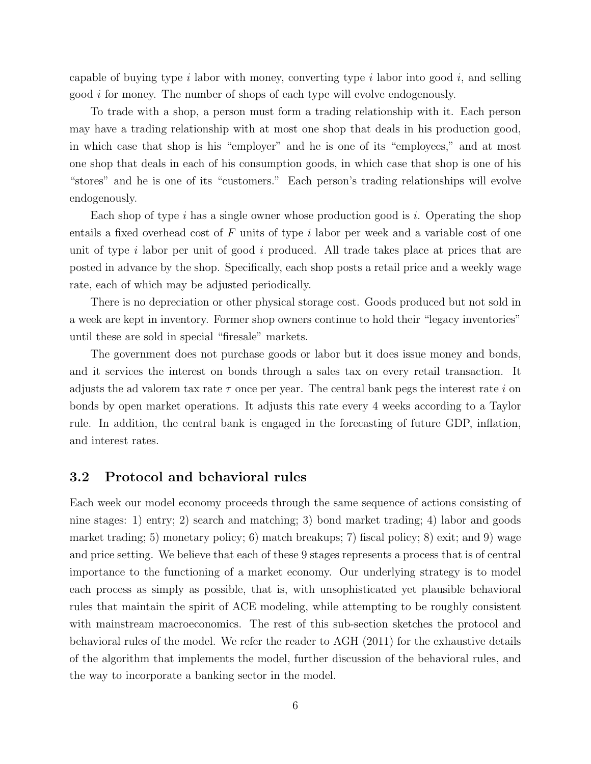capable of buying type i labor with money, converting type i labor into good i, and selling good i for money. The number of shops of each type will evolve endogenously.

To trade with a shop, a person must form a trading relationship with it. Each person may have a trading relationship with at most one shop that deals in his production good, in which case that shop is his "employer" and he is one of its "employees," and at most one shop that deals in each of his consumption goods, in which case that shop is one of his "stores" and he is one of its "customers." Each person's trading relationships will evolve endogenously.

Each shop of type i has a single owner whose production good is i. Operating the shop entails a fixed overhead cost of  $F$  units of type  $i$  labor per week and a variable cost of one unit of type i labor per unit of good i produced. All trade takes place at prices that are posted in advance by the shop. Specifically, each shop posts a retail price and a weekly wage rate, each of which may be adjusted periodically.

There is no depreciation or other physical storage cost. Goods produced but not sold in a week are kept in inventory. Former shop owners continue to hold their "legacy inventories" until these are sold in special "firesale" markets.

The government does not purchase goods or labor but it does issue money and bonds, and it services the interest on bonds through a sales tax on every retail transaction. It adjusts the ad valorem tax rate  $\tau$  once per year. The central bank pegs the interest rate i on bonds by open market operations. It adjusts this rate every 4 weeks according to a Taylor rule. In addition, the central bank is engaged in the forecasting of future GDP, inflation, and interest rates.

#### 3.2 Protocol and behavioral rules

Each week our model economy proceeds through the same sequence of actions consisting of nine stages: 1) entry; 2) search and matching; 3) bond market trading; 4) labor and goods market trading; 5) monetary policy; 6) match breakups; 7) fiscal policy; 8) exit; and 9) wage and price setting. We believe that each of these 9 stages represents a process that is of central importance to the functioning of a market economy. Our underlying strategy is to model each process as simply as possible, that is, with unsophisticated yet plausible behavioral rules that maintain the spirit of ACE modeling, while attempting to be roughly consistent with mainstream macroeconomics. The rest of this sub-section sketches the protocol and behavioral rules of the model. We refer the reader to AGH (2011) for the exhaustive details of the algorithm that implements the model, further discussion of the behavioral rules, and the way to incorporate a banking sector in the model.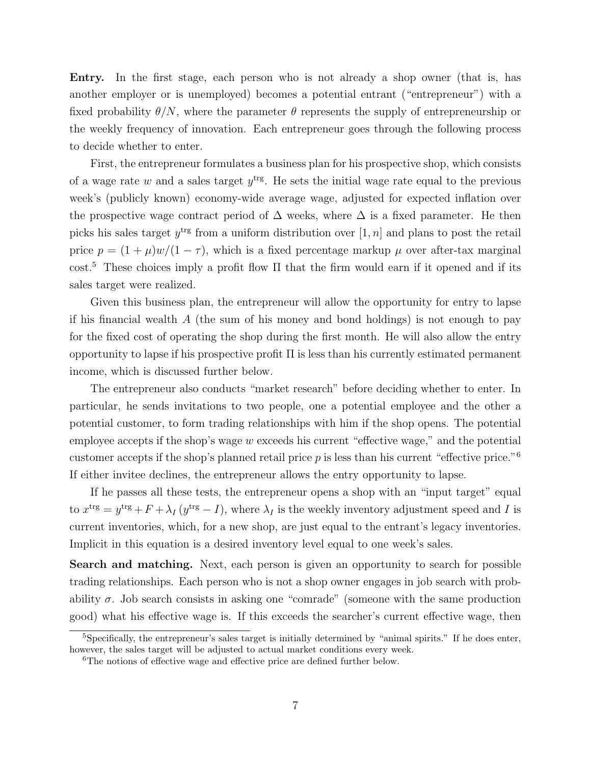Entry. In the first stage, each person who is not already a shop owner (that is, has another employer or is unemployed) becomes a potential entrant ("entrepreneur") with a fixed probability  $\theta/N$ , where the parameter  $\theta$  represents the supply of entrepreneurship or the weekly frequency of innovation. Each entrepreneur goes through the following process to decide whether to enter.

First, the entrepreneur formulates a business plan for his prospective shop, which consists of a wage rate w and a sales target  $y<sup>trg</sup>$ . He sets the initial wage rate equal to the previous week's (publicly known) economy-wide average wage, adjusted for expected inflation over the prospective wage contract period of  $\Delta$  weeks, where  $\Delta$  is a fixed parameter. He then picks his sales target  $y^{\text{trg}}$  from a uniform distribution over  $[1, n]$  and plans to post the retail price  $p = (1 + \mu)w/(1 - \tau)$ , which is a fixed percentage markup  $\mu$  over after-tax marginal cost.[5](#page-7-0) These choices imply a profit flow Π that the firm would earn if it opened and if its sales target were realized.

Given this business plan, the entrepreneur will allow the opportunity for entry to lapse if his financial wealth  $A$  (the sum of his money and bond holdings) is not enough to pay for the fixed cost of operating the shop during the first month. He will also allow the entry opportunity to lapse if his prospective profit Π is less than his currently estimated permanent income, which is discussed further below.

The entrepreneur also conducts "market research" before deciding whether to enter. In particular, he sends invitations to two people, one a potential employee and the other a potential customer, to form trading relationships with him if the shop opens. The potential employee accepts if the shop's wage  $w$  exceeds his current "effective wage," and the potential customer accepts if the shop's planned retail price  $p$  is less than his current "effective price."<sup>[6](#page-7-1)</sup> If either invitee declines, the entrepreneur allows the entry opportunity to lapse.

If he passes all these tests, the entrepreneur opens a shop with an "input target" equal to  $x^{\text{trg}} = y^{\text{trg}} + F + \lambda_I (y^{\text{trg}} - I)$ , where  $\lambda_I$  is the weekly inventory adjustment speed and I is current inventories, which, for a new shop, are just equal to the entrant's legacy inventories. Implicit in this equation is a desired inventory level equal to one week's sales.

Search and matching. Next, each person is given an opportunity to search for possible trading relationships. Each person who is not a shop owner engages in job search with probability  $\sigma$ . Job search consists in asking one "comrade" (someone with the same production good) what his effective wage is. If this exceeds the searcher's current effective wage, then

<span id="page-7-0"></span><sup>5</sup>Specifically, the entrepreneur's sales target is initially determined by "animal spirits." If he does enter, however, the sales target will be adjusted to actual market conditions every week.

<span id="page-7-1"></span><sup>&</sup>lt;sup>6</sup>The notions of effective wage and effective price are defined further below.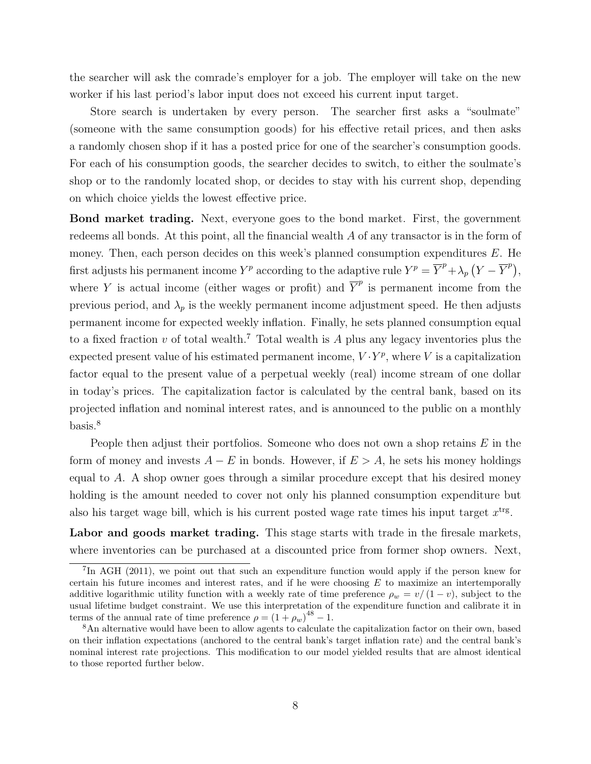the searcher will ask the comrade's employer for a job. The employer will take on the new worker if his last period's labor input does not exceed his current input target.

Store search is undertaken by every person. The searcher first asks a "soulmate" (someone with the same consumption goods) for his effective retail prices, and then asks a randomly chosen shop if it has a posted price for one of the searcher's consumption goods. For each of his consumption goods, the searcher decides to switch, to either the soulmate's shop or to the randomly located shop, or decides to stay with his current shop, depending on which choice yields the lowest effective price.

Bond market trading. Next, everyone goes to the bond market. First, the government redeems all bonds. At this point, all the financial wealth A of any transactor is in the form of money. Then, each person decides on this week's planned consumption expenditures  $E$ . He first adjusts his permanent income  $Y^p$  according to the adaptive rule  $Y^p = \overline{Y}^p + \lambda_p (Y - \overline{Y}^p)$ , where Y is actual income (either wages or profit) and  $\overline{Y}^p$  is permanent income from the previous period, and  $\lambda_p$  is the weekly permanent income adjustment speed. He then adjusts permanent income for expected weekly inflation. Finally, he sets planned consumption equal to a fixed fraction v of total wealth.<sup>[7](#page-8-0)</sup> Total wealth is A plus any legacy inventories plus the expected present value of his estimated permanent income,  $V \cdot Y^p$ , where V is a capitalization factor equal to the present value of a perpetual weekly (real) income stream of one dollar in today's prices. The capitalization factor is calculated by the central bank, based on its projected inflation and nominal interest rates, and is announced to the public on a monthly basis.[8](#page-8-1)

People then adjust their portfolios. Someone who does not own a shop retains  $E$  in the form of money and invests  $A - E$  in bonds. However, if  $E > A$ , he sets his money holdings equal to A. A shop owner goes through a similar procedure except that his desired money holding is the amount needed to cover not only his planned consumption expenditure but also his target wage bill, which is his current posted wage rate times his input target  $x<sup>trg</sup>$ .

Labor and goods market trading. This stage starts with trade in the firesale markets, where inventories can be purchased at a discounted price from former shop owners. Next,

<span id="page-8-0"></span><sup>&</sup>lt;sup>7</sup>In AGH (2011), we point out that such an expenditure function would apply if the person knew for certain his future incomes and interest rates, and if he were choosing  $E$  to maximize an intertemporally additive logarithmic utility function with a weekly rate of time preference  $\rho_w = v/(1-v)$ , subject to the usual lifetime budget constraint. We use this interpretation of the expenditure function and calibrate it in terms of the annual rate of time preference  $\rho = (1 + \rho_w)^{48} - 1$ .

<span id="page-8-1"></span><sup>8</sup>An alternative would have been to allow agents to calculate the capitalization factor on their own, based on their inflation expectations (anchored to the central bank's target inflation rate) and the central bank's nominal interest rate projections. This modification to our model yielded results that are almost identical to those reported further below.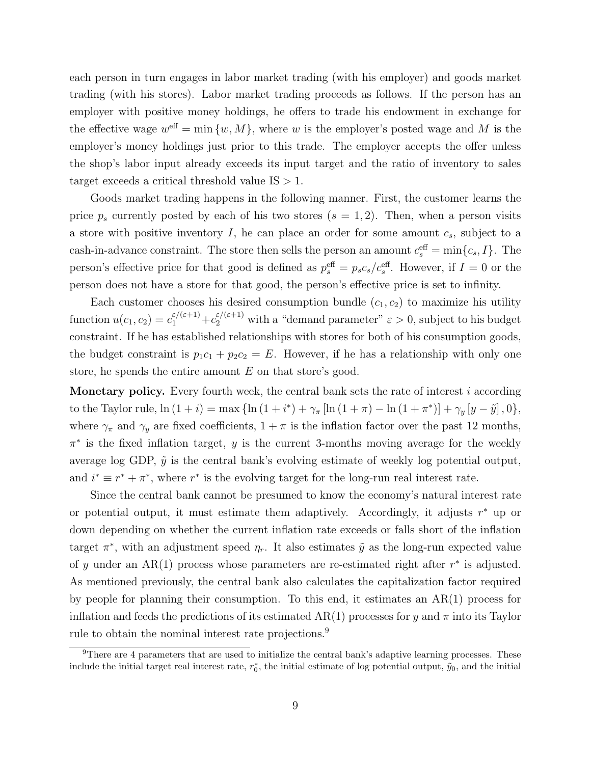each person in turn engages in labor market trading (with his employer) and goods market trading (with his stores). Labor market trading proceeds as follows. If the person has an employer with positive money holdings, he offers to trade his endowment in exchange for the effective wage  $w^{\text{eff}} = \min \{w, M\}$ , where w is the employer's posted wage and M is the employer's money holdings just prior to this trade. The employer accepts the offer unless the shop's labor input already exceeds its input target and the ratio of inventory to sales target exceeds a critical threshold value  $IS > 1$ .

Goods market trading happens in the following manner. First, the customer learns the price  $p_s$  currently posted by each of his two stores  $(s = 1, 2)$ . Then, when a person visits a store with positive inventory  $I$ , he can place an order for some amount  $c_s$ , subject to a cash-in-advance constraint. The store then sells the person an amount  $c_s^{\text{eff}} = \min\{c_s, I\}$ . The person's effective price for that good is defined as  $p_s^{\text{eff}} = p_s c_s/c_s^{\text{eff}}$ . However, if  $I = 0$  or the person does not have a store for that good, the person's effective price is set to infinity.

Each customer chooses his desired consumption bundle  $(c_1, c_2)$  to maximize his utility function  $u(c_1, c_2) = c_1^{\varepsilon/(\varepsilon+1)} + c_2^{\varepsilon/(\varepsilon+1)}$  with a "demand parameter"  $\varepsilon > 0$ , subject to his budget constraint. If he has established relationships with stores for both of his consumption goods, the budget constraint is  $p_1c_1 + p_2c_2 = E$ . However, if he has a relationship with only one store, he spends the entire amount  $E$  on that store's good.

**Monetary policy.** Every fourth week, the central bank sets the rate of interest  $i$  according to the Taylor rule,  $\ln (1 + i) = \max \{ \ln (1 + i^{*}) + \gamma_{\pi} [\ln (1 + \pi) - \ln (1 + \pi^{*})] + \gamma_{y} [y - \tilde{y}], 0 \},\$ where  $\gamma_{\pi}$  and  $\gamma_{y}$  are fixed coefficients,  $1 + \pi$  is the inflation factor over the past 12 months,  $\pi^*$  is the fixed inflation target, y is the current 3-months moving average for the weekly average log GDP,  $\tilde{y}$  is the central bank's evolving estimate of weekly log potential output, and  $i^* \equiv r^* + \pi^*$ , where  $r^*$  is the evolving target for the long-run real interest rate.

Since the central bank cannot be presumed to know the economy's natural interest rate or potential output, it must estimate them adaptively. Accordingly, it adjusts  $r^*$  up or down depending on whether the current inflation rate exceeds or falls short of the inflation target  $\pi^*$ , with an adjustment speed  $\eta_r$ . It also estimates  $\tilde{y}$  as the long-run expected value of y under an  $AR(1)$  process whose parameters are re-estimated right after  $r^*$  is adjusted. As mentioned previously, the central bank also calculates the capitalization factor required by people for planning their consumption. To this end, it estimates an AR(1) process for inflation and feeds the predictions of its estimated AR(1) processes for y and  $\pi$  into its Taylor rule to obtain the nominal interest rate projections.<sup>[9](#page-9-0)</sup>

<span id="page-9-0"></span><sup>9</sup>There are 4 parameters that are used to initialize the central bank's adaptive learning processes. These include the initial target real interest rate,  $r_0^*$ , the initial estimate of log potential output,  $\tilde{y}_0$ , and the initial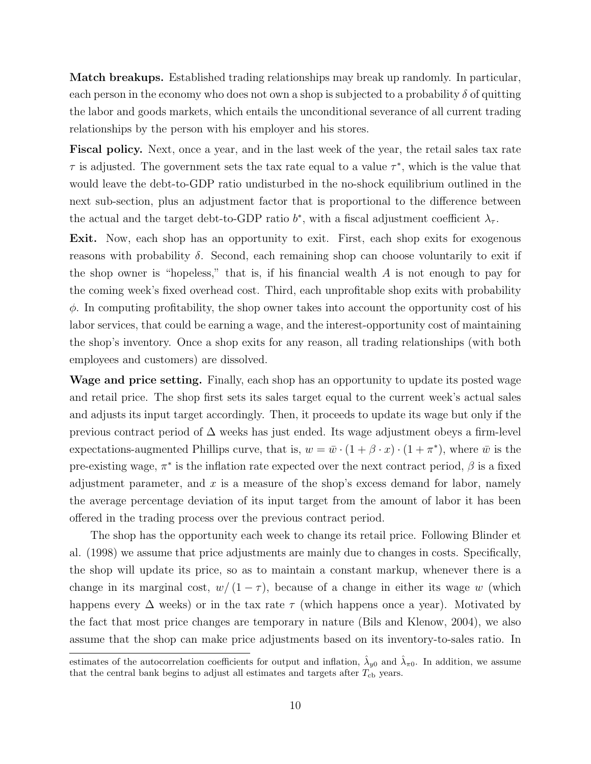Match breakups. Established trading relationships may break up randomly. In particular, each person in the economy who does not own a shop is subjected to a probability  $\delta$  of quitting the labor and goods markets, which entails the unconditional severance of all current trading relationships by the person with his employer and his stores.

Fiscal policy. Next, once a year, and in the last week of the year, the retail sales tax rate  $\tau$  is adjusted. The government sets the tax rate equal to a value  $\tau^*$ , which is the value that would leave the debt-to-GDP ratio undisturbed in the no-shock equilibrium outlined in the next sub-section, plus an adjustment factor that is proportional to the difference between the actual and the target debt-to-GDP ratio  $b^*$ , with a fiscal adjustment coefficient  $\lambda_{\tau}$ .

Exit. Now, each shop has an opportunity to exit. First, each shop exits for exogenous reasons with probability  $\delta$ . Second, each remaining shop can choose voluntarily to exit if the shop owner is "hopeless," that is, if his financial wealth  $A$  is not enough to pay for the coming week's fixed overhead cost. Third, each unprofitable shop exits with probability  $\phi$ . In computing profitability, the shop owner takes into account the opportunity cost of his labor services, that could be earning a wage, and the interest-opportunity cost of maintaining the shop's inventory. Once a shop exits for any reason, all trading relationships (with both employees and customers) are dissolved.

Wage and price setting. Finally, each shop has an opportunity to update its posted wage and retail price. The shop first sets its sales target equal to the current week's actual sales and adjusts its input target accordingly. Then, it proceeds to update its wage but only if the previous contract period of ∆ weeks has just ended. Its wage adjustment obeys a firm-level expectations-augmented Phillips curve, that is,  $w = \bar{w} \cdot (1 + \beta \cdot x) \cdot (1 + \pi^*)$ , where  $\bar{w}$  is the pre-existing wage,  $\pi^*$  is the inflation rate expected over the next contract period,  $\beta$  is a fixed adjustment parameter, and  $x$  is a measure of the shop's excess demand for labor, namely the average percentage deviation of its input target from the amount of labor it has been offered in the trading process over the previous contract period.

The shop has the opportunity each week to change its retail price. Following Blinder et al. (1998) we assume that price adjustments are mainly due to changes in costs. Specifically, the shop will update its price, so as to maintain a constant markup, whenever there is a change in its marginal cost,  $w/(1 - \tau)$ , because of a change in either its wage w (which happens every  $\Delta$  weeks) or in the tax rate  $\tau$  (which happens once a year). Motivated by the fact that most price changes are temporary in nature (Bils and Klenow, 2004), we also assume that the shop can make price adjustments based on its inventory-to-sales ratio. In

estimates of the autocorrelation coefficients for output and inflation,  $\hat{\lambda}_{y0}$  and  $\hat{\lambda}_{\pi 0}$ . In addition, we assume that the central bank begins to adjust all estimates and targets after  $T_{\text{cb}}$  years.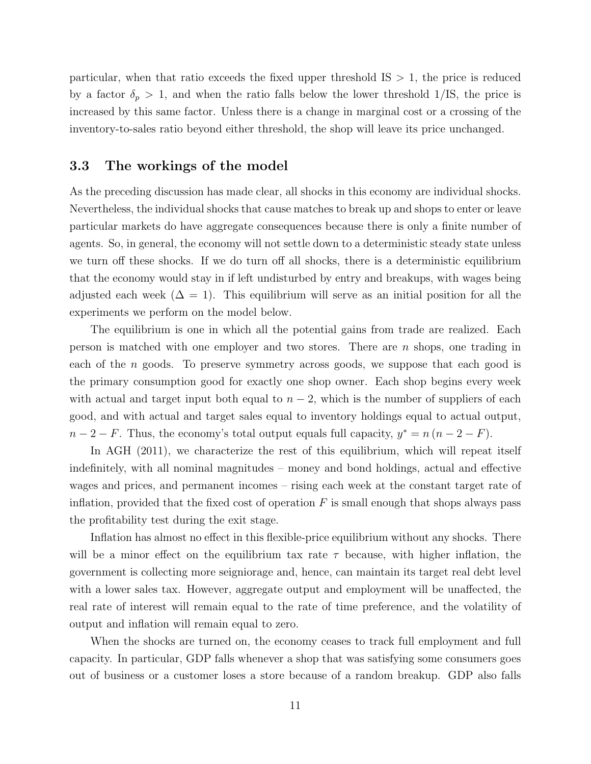particular, when that ratio exceeds the fixed upper threshold  $IS > 1$ , the price is reduced by a factor  $\delta_p > 1$ , and when the ratio falls below the lower threshold 1/IS, the price is increased by this same factor. Unless there is a change in marginal cost or a crossing of the inventory-to-sales ratio beyond either threshold, the shop will leave its price unchanged.

#### 3.3 The workings of the model

As the preceding discussion has made clear, all shocks in this economy are individual shocks. Nevertheless, the individual shocks that cause matches to break up and shops to enter or leave particular markets do have aggregate consequences because there is only a finite number of agents. So, in general, the economy will not settle down to a deterministic steady state unless we turn off these shocks. If we do turn off all shocks, there is a deterministic equilibrium that the economy would stay in if left undisturbed by entry and breakups, with wages being adjusted each week  $(\Delta = 1)$ . This equilibrium will serve as an initial position for all the experiments we perform on the model below.

The equilibrium is one in which all the potential gains from trade are realized. Each person is matched with one employer and two stores. There are  $n$  shops, one trading in each of the *n* goods. To preserve symmetry across goods, we suppose that each good is the primary consumption good for exactly one shop owner. Each shop begins every week with actual and target input both equal to  $n-2$ , which is the number of suppliers of each good, and with actual and target sales equal to inventory holdings equal to actual output,  $n-2-F$ . Thus, the economy's total output equals full capacity,  $y^* = n(n-2-F)$ .

In AGH (2011), we characterize the rest of this equilibrium, which will repeat itself indefinitely, with all nominal magnitudes – money and bond holdings, actual and effective wages and prices, and permanent incomes – rising each week at the constant target rate of inflation, provided that the fixed cost of operation  $F$  is small enough that shops always pass the profitability test during the exit stage.

Inflation has almost no effect in this flexible-price equilibrium without any shocks. There will be a minor effect on the equilibrium tax rate  $\tau$  because, with higher inflation, the government is collecting more seigniorage and, hence, can maintain its target real debt level with a lower sales tax. However, aggregate output and employment will be unaffected, the real rate of interest will remain equal to the rate of time preference, and the volatility of output and inflation will remain equal to zero.

When the shocks are turned on, the economy ceases to track full employment and full capacity. In particular, GDP falls whenever a shop that was satisfying some consumers goes out of business or a customer loses a store because of a random breakup. GDP also falls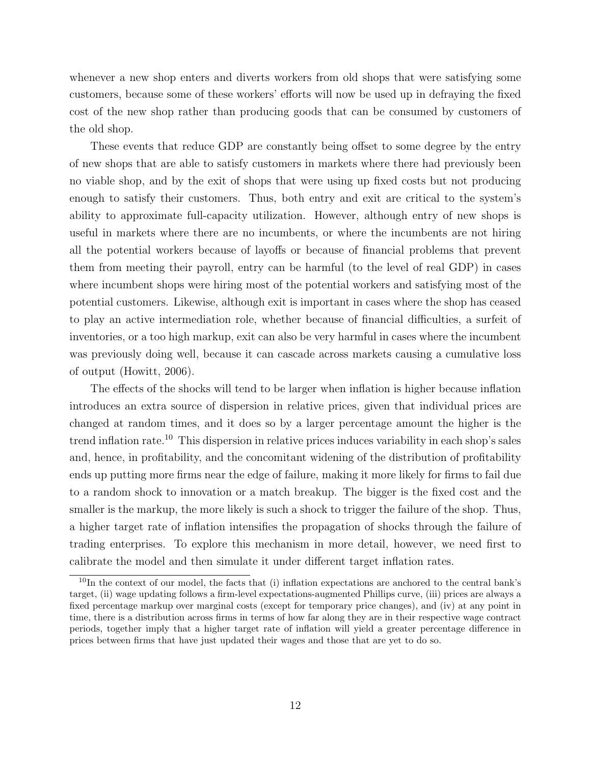whenever a new shop enters and diverts workers from old shops that were satisfying some customers, because some of these workers' efforts will now be used up in defraying the fixed cost of the new shop rather than producing goods that can be consumed by customers of the old shop.

These events that reduce GDP are constantly being offset to some degree by the entry of new shops that are able to satisfy customers in markets where there had previously been no viable shop, and by the exit of shops that were using up fixed costs but not producing enough to satisfy their customers. Thus, both entry and exit are critical to the system's ability to approximate full-capacity utilization. However, although entry of new shops is useful in markets where there are no incumbents, or where the incumbents are not hiring all the potential workers because of layoffs or because of financial problems that prevent them from meeting their payroll, entry can be harmful (to the level of real GDP) in cases where incumbent shops were hiring most of the potential workers and satisfying most of the potential customers. Likewise, although exit is important in cases where the shop has ceased to play an active intermediation role, whether because of financial difficulties, a surfeit of inventories, or a too high markup, exit can also be very harmful in cases where the incumbent was previously doing well, because it can cascade across markets causing a cumulative loss of output (Howitt, 2006).

The effects of the shocks will tend to be larger when inflation is higher because inflation introduces an extra source of dispersion in relative prices, given that individual prices are changed at random times, and it does so by a larger percentage amount the higher is the trend inflation rate.<sup>[10](#page-12-0)</sup> This dispersion in relative prices induces variability in each shop's sales and, hence, in profitability, and the concomitant widening of the distribution of profitability ends up putting more firms near the edge of failure, making it more likely for firms to fail due to a random shock to innovation or a match breakup. The bigger is the fixed cost and the smaller is the markup, the more likely is such a shock to trigger the failure of the shop. Thus, a higher target rate of inflation intensifies the propagation of shocks through the failure of trading enterprises. To explore this mechanism in more detail, however, we need first to calibrate the model and then simulate it under different target inflation rates.

<span id="page-12-0"></span> $10$ In the context of our model, the facts that (i) inflation expectations are anchored to the central bank's target, (ii) wage updating follows a firm-level expectations-augmented Phillips curve, (iii) prices are always a fixed percentage markup over marginal costs (except for temporary price changes), and (iv) at any point in time, there is a distribution across firms in terms of how far along they are in their respective wage contract periods, together imply that a higher target rate of inflation will yield a greater percentage difference in prices between firms that have just updated their wages and those that are yet to do so.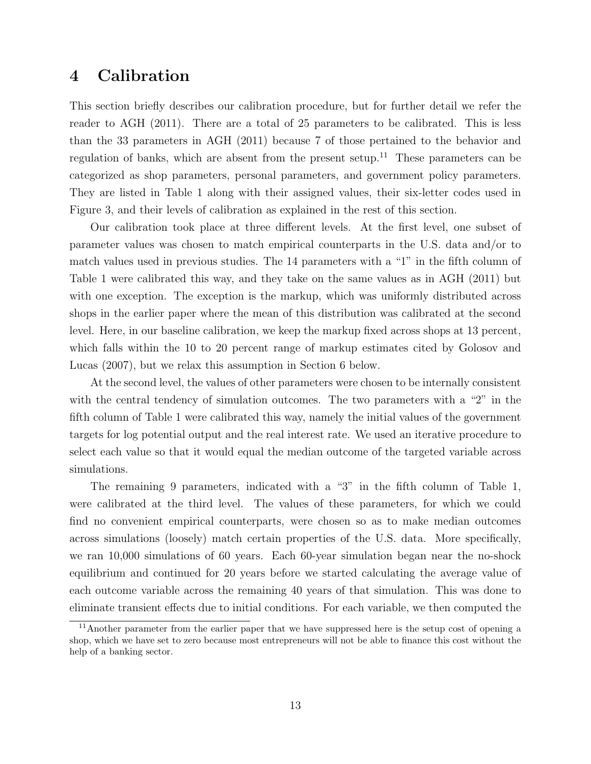## <span id="page-13-0"></span>4 Calibration

This section briefly describes our calibration procedure, but for further detail we refer the reader to AGH (2011). There are a total of 25 parameters to be calibrated. This is less than the 33 parameters in AGH (2011) because 7 of those pertained to the behavior and regulation of banks, which are absent from the present setup.<sup>[11](#page-13-1)</sup> These parameters can be categorized as shop parameters, personal parameters, and government policy parameters. They are listed in Table [1](#page-14-0) along with their assigned values, their six-letter codes used in Figure [3,](#page-18-0) and their levels of calibration as explained in the rest of this section.

Our calibration took place at three different levels. At the first level, one subset of parameter values was chosen to match empirical counterparts in the U.S. data and/or to match values used in previous studies. The 14 parameters with a "1" in the fifth column of Table [1](#page-14-0) were calibrated this way, and they take on the same values as in AGH (2011) but with one exception. The exception is the markup, which was uniformly distributed across shops in the earlier paper where the mean of this distribution was calibrated at the second level. Here, in our baseline calibration, we keep the markup fixed across shops at 13 percent, which falls within the 10 to 20 percent range of markup estimates cited by Golosov and Lucas (2007), but we relax this assumption in Section [6](#page-20-0) below.

At the second level, the values of other parameters were chosen to be internally consistent with the central tendency of simulation outcomes. The two parameters with a "2" in the fifth column of Table [1](#page-14-0) were calibrated this way, namely the initial values of the government targets for log potential output and the real interest rate. We used an iterative procedure to select each value so that it would equal the median outcome of the targeted variable across simulations.

The remaining 9 parameters, indicated with a "3" in the fifth column of Table [1,](#page-14-0) were calibrated at the third level. The values of these parameters, for which we could find no convenient empirical counterparts, were chosen so as to make median outcomes across simulations (loosely) match certain properties of the U.S. data. More specifically, we ran 10,000 simulations of 60 years. Each 60-year simulation began near the no-shock equilibrium and continued for 20 years before we started calculating the average value of each outcome variable across the remaining 40 years of that simulation. This was done to eliminate transient effects due to initial conditions. For each variable, we then computed the

<span id="page-13-1"></span> $11$ Another parameter from the earlier paper that we have suppressed here is the setup cost of opening a shop, which we have set to zero because most entrepreneurs will not be able to finance this cost without the help of a banking sector.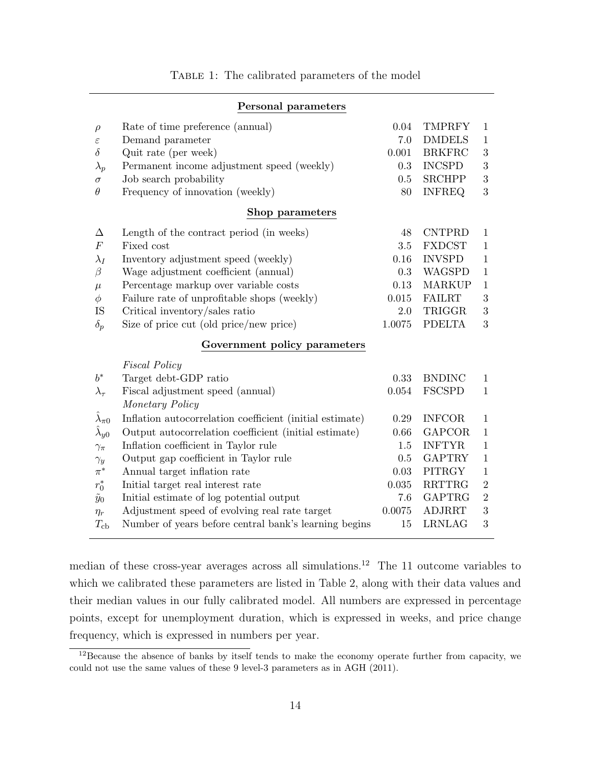<span id="page-14-0"></span>

| Personal parameters          |                                                          |         |               |                  |  |
|------------------------------|----------------------------------------------------------|---------|---------------|------------------|--|
| $\rho$                       | Rate of time preference (annual)                         | 0.04    | <b>TMPRFY</b> | $\mathbf{1}$     |  |
| $\varepsilon$                | Demand parameter                                         | 7.0     | <b>DMDELS</b> | $\mathbf{1}$     |  |
| $\delta$                     | Quit rate (per week)                                     | 0.001   | <b>BRKFRC</b> | $\boldsymbol{3}$ |  |
| $\lambda_p$                  | Permanent income adjustment speed (weekly)               | 0.3     | <b>INCSPD</b> | $\sqrt{3}$       |  |
| $\sigma$                     | Job search probability                                   | $0.5\,$ | <b>SRCHPP</b> | $\sqrt{3}$       |  |
| $\theta$                     | Frequency of innovation (weekly)                         | 80      | <b>INFREQ</b> | 3                |  |
| Shop parameters              |                                                          |         |               |                  |  |
| Δ                            | Length of the contract period (in weeks)                 | 48      | <b>CNTPRD</b> | $\mathbf{1}$     |  |
| $\cal F$                     | Fixed cost                                               | 3.5     | <b>FXDCST</b> | $\mathbf{1}$     |  |
| $\lambda_I$                  | Inventory adjustment speed (weekly)                      | 0.16    | <b>INVSPD</b> | $\mathbf{1}$     |  |
| $\beta$                      | Wage adjustment coefficient (annual)                     | 0.3     | <b>WAGSPD</b> | $\mathbf{1}$     |  |
| $\mu$                        | Percentage markup over variable costs                    | 0.13    | <b>MARKUP</b> | $\mathbf{1}$     |  |
| $\phi$                       | Failure rate of unprofitable shops (weekly)              | 0.015   | <b>FAILRT</b> | $\sqrt{3}$       |  |
| IS                           | Critical inventory/sales ratio                           | 2.0     | TRIGGR        | 3                |  |
| $\delta_p$                   | Size of price cut (old price/new price)                  | 1.0075  | <b>PDELTA</b> | 3                |  |
| Government policy parameters |                                                          |         |               |                  |  |
|                              | <b>Fiscal Policy</b>                                     |         |               |                  |  |
| $b^*$                        | Target debt-GDP ratio                                    | 0.33    | <b>BNDINC</b> | $\mathbf{1}$     |  |
| $\lambda_\tau$               | Fiscal adjustment speed (annual)                         | 0.054   | <b>FSCSPD</b> | $\mathbf{1}$     |  |
|                              | Monetary Policy                                          |         |               |                  |  |
| $\lambda_{\pi 0}$            | Inflation autocorrelation coefficient (initial estimate) | 0.29    | <b>INFCOR</b> | $\mathbf{1}$     |  |
| $\lambda_{y0}$               | Output autocorrelation coefficient (initial estimate)    | 0.66    | <b>GAPCOR</b> | $\mathbf{1}$     |  |
| $\gamma_\pi$                 | Inflation coefficient in Taylor rule                     | 1.5     | <b>INFTYR</b> | $\mathbf{1}$     |  |
| $\gamma_y$                   | Output gap coefficient in Taylor rule                    | 0.5     | <b>GAPTRY</b> | $\mathbf{1}$     |  |
| $\pi^*$                      | Annual target inflation rate                             | 0.03    | <b>PITRGY</b> | $\mathbf{1}$     |  |
| $r_0^*$                      | Initial target real interest rate                        | 0.035   | <b>RRTTRG</b> | $\overline{2}$   |  |
| $\tilde{y}_0$                | Initial estimate of log potential output                 | 7.6     | <b>GAPTRG</b> | $\,2$            |  |
| $\eta_r$                     | Adjustment speed of evolving real rate target            | 0.0075  | <b>ADJRRT</b> | 3                |  |
| $T_{\rm cb}$                 | Number of years before central bank's learning begins    | 15      | <b>LRNLAG</b> | 3                |  |

median of these cross-year averages across all simulations.<sup>[12](#page-14-1)</sup> The 11 outcome variables to which we calibrated these parameters are listed in Table [2,](#page-15-1) along with their data values and their median values in our fully calibrated model. All numbers are expressed in percentage points, except for unemployment duration, which is expressed in weeks, and price change frequency, which is expressed in numbers per year.

<span id="page-14-1"></span><sup>&</sup>lt;sup>12</sup>Because the absence of banks by itself tends to make the economy operate further from capacity, we could not use the same values of these 9 level-3 parameters as in AGH (2011).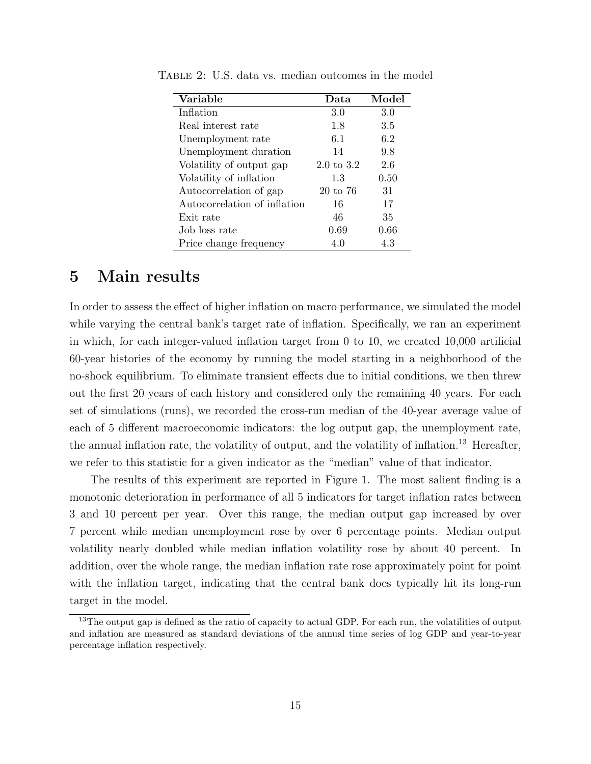| Variable                     | Data       | Model |
|------------------------------|------------|-------|
| Inflation                    | 3.0        | 3.0   |
| Real interest rate           | 1.8        | 3.5   |
| Unemployment rate            | 6.1        | 6.2   |
| Unemployment duration        | 14         | 9.8   |
| Volatility of output gap     | 2.0 to 3.2 | 2.6   |
| Volatility of inflation      | 1.3        | 0.50  |
| Autocorrelation of gap       | 20 to 76   | 31    |
| Autocorrelation of inflation | 16         | 17    |
| Exit rate                    | 46         | 35    |
| Job loss rate                | 0.69       | 0.66  |
| Price change frequency       | 4.0        | 4.3   |

<span id="page-15-1"></span>Table 2: U.S. data vs. median outcomes in the model

## <span id="page-15-0"></span>5 Main results

In order to assess the effect of higher inflation on macro performance, we simulated the model while varying the central bank's target rate of inflation. Specifically, we ran an experiment in which, for each integer-valued inflation target from 0 to 10, we created 10,000 artificial 60-year histories of the economy by running the model starting in a neighborhood of the no-shock equilibrium. To eliminate transient effects due to initial conditions, we then threw out the first 20 years of each history and considered only the remaining 40 years. For each set of simulations (runs), we recorded the cross-run median of the 40-year average value of each of 5 different macroeconomic indicators: the log output gap, the unemployment rate, the annual inflation rate, the volatility of output, and the volatility of inflation.<sup>[13](#page-15-2)</sup> Hereafter, we refer to this statistic for a given indicator as the "median" value of that indicator.

The results of this experiment are reported in Figure [1.](#page-16-0) The most salient finding is a monotonic deterioration in performance of all 5 indicators for target inflation rates between 3 and 10 percent per year. Over this range, the median output gap increased by over 7 percent while median unemployment rose by over 6 percentage points. Median output volatility nearly doubled while median inflation volatility rose by about 40 percent. In addition, over the whole range, the median inflation rate rose approximately point for point with the inflation target, indicating that the central bank does typically hit its long-run target in the model.

<span id="page-15-2"></span><sup>&</sup>lt;sup>13</sup>The output gap is defined as the ratio of capacity to actual GDP. For each run, the volatilities of output and inflation are measured as standard deviations of the annual time series of log GDP and year-to-year percentage inflation respectively.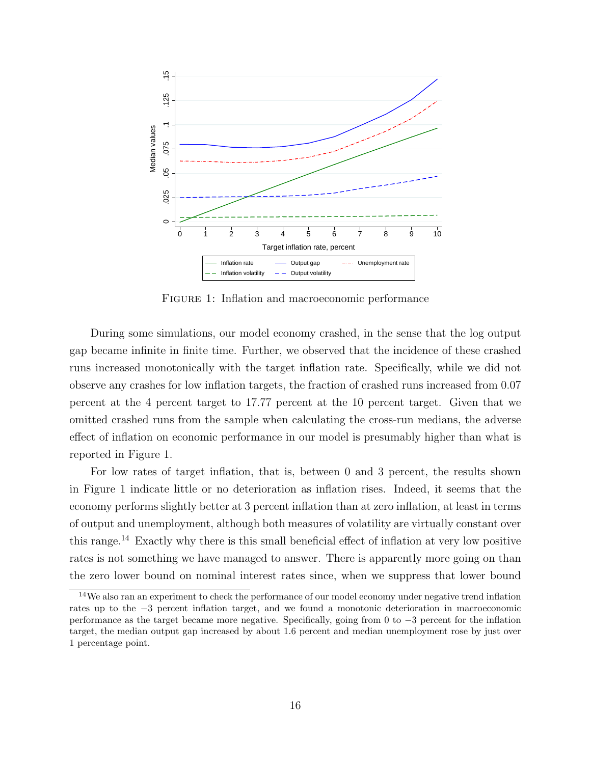<span id="page-16-0"></span>

Figure 1: Inflation and macroeconomic performance

During some simulations, our model economy crashed, in the sense that the log output gap became infinite in finite time. Further, we observed that the incidence of these crashed runs increased monotonically with the target inflation rate. Specifically, while we did not observe any crashes for low inflation targets, the fraction of crashed runs increased from 0.07 percent at the 4 percent target to 17.77 percent at the 10 percent target. Given that we omitted crashed runs from the sample when calculating the cross-run medians, the adverse effect of inflation on economic performance in our model is presumably higher than what is reported in Figure [1.](#page-16-0)

For low rates of target inflation, that is, between 0 and 3 percent, the results shown in Figure [1](#page-16-0) indicate little or no deterioration as inflation rises. Indeed, it seems that the economy performs slightly better at 3 percent inflation than at zero inflation, at least in terms of output and unemployment, although both measures of volatility are virtually constant over this range.[14](#page-16-1) Exactly why there is this small beneficial effect of inflation at very low positive rates is not something we have managed to answer. There is apparently more going on than the zero lower bound on nominal interest rates since, when we suppress that lower bound

<span id="page-16-1"></span><sup>&</sup>lt;sup>14</sup>We also ran an experiment to check the performance of our model economy under negative trend inflation rates up to the −3 percent inflation target, and we found a monotonic deterioration in macroeconomic performance as the target became more negative. Specifically, going from 0 to −3 percent for the inflation target, the median output gap increased by about 1.6 percent and median unemployment rose by just over 1 percentage point.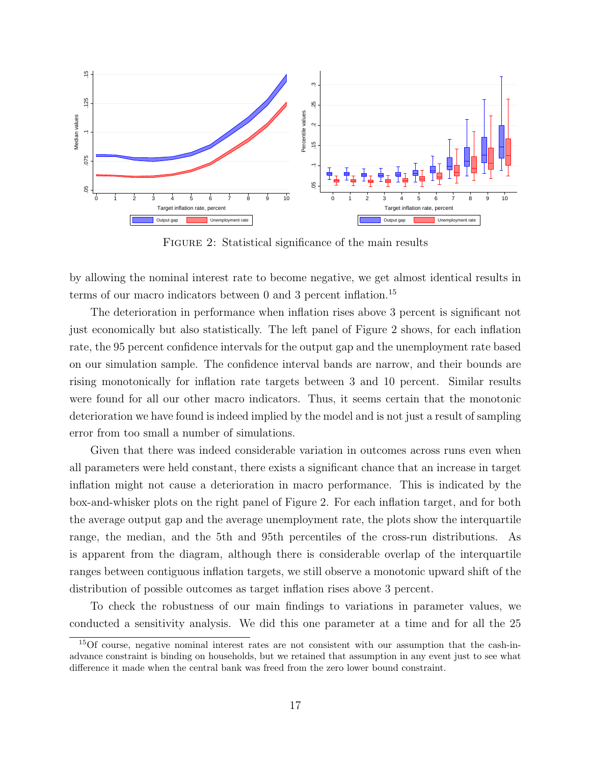<span id="page-17-1"></span>

FIGURE 2: Statistical significance of the main results

by allowing the nominal interest rate to become negative, we get almost identical results in terms of our macro indicators between 0 and 3 percent inflation.<sup>[15](#page-17-0)</sup>

The deterioration in performance when inflation rises above 3 percent is significant not just economically but also statistically. The left panel of Figure [2](#page-17-1) shows, for each inflation rate, the 95 percent confidence intervals for the output gap and the unemployment rate based on our simulation sample. The confidence interval bands are narrow, and their bounds are rising monotonically for inflation rate targets between 3 and 10 percent. Similar results were found for all our other macro indicators. Thus, it seems certain that the monotonic deterioration we have found is indeed implied by the model and is not just a result of sampling error from too small a number of simulations.

Given that there was indeed considerable variation in outcomes across runs even when all parameters were held constant, there exists a significant chance that an increase in target inflation might not cause a deterioration in macro performance. This is indicated by the box-and-whisker plots on the right panel of Figure [2.](#page-17-1) For each inflation target, and for both the average output gap and the average unemployment rate, the plots show the interquartile range, the median, and the 5th and 95th percentiles of the cross-run distributions. As is apparent from the diagram, although there is considerable overlap of the interquartile ranges between contiguous inflation targets, we still observe a monotonic upward shift of the distribution of possible outcomes as target inflation rises above 3 percent.

To check the robustness of our main findings to variations in parameter values, we conducted a sensitivity analysis. We did this one parameter at a time and for all the 25

<span id="page-17-0"></span><sup>15</sup>Of course, negative nominal interest rates are not consistent with our assumption that the cash-inadvance constraint is binding on households, but we retained that assumption in any event just to see what difference it made when the central bank was freed from the zero lower bound constraint.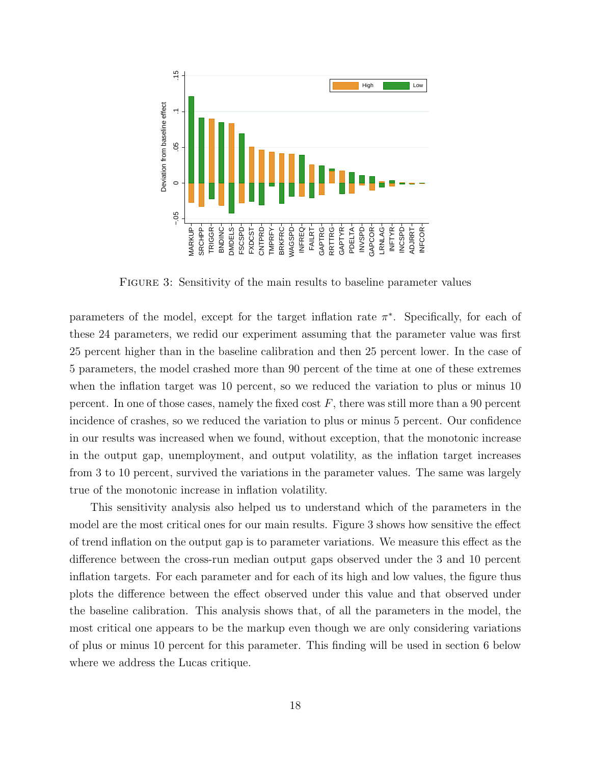<span id="page-18-0"></span>

Figure 3: Sensitivity of the main results to baseline parameter values

parameters of the model, except for the target inflation rate  $\pi^*$ . Specifically, for each of these 24 parameters, we redid our experiment assuming that the parameter value was first 25 percent higher than in the baseline calibration and then 25 percent lower. In the case of 5 parameters, the model crashed more than 90 percent of the time at one of these extremes when the inflation target was 10 percent, so we reduced the variation to plus or minus 10 percent. In one of those cases, namely the fixed cost  $F$ , there was still more than a 90 percent incidence of crashes, so we reduced the variation to plus or minus 5 percent. Our confidence in our results was increased when we found, without exception, that the monotonic increase in the output gap, unemployment, and output volatility, as the inflation target increases from 3 to 10 percent, survived the variations in the parameter values. The same was largely true of the monotonic increase in inflation volatility.

This sensitivity analysis also helped us to understand which of the parameters in the model are the most critical ones for our main results. Figure [3](#page-18-0) shows how sensitive the effect of trend inflation on the output gap is to parameter variations. We measure this effect as the difference between the cross-run median output gaps observed under the 3 and 10 percent inflation targets. For each parameter and for each of its high and low values, the figure thus plots the difference between the effect observed under this value and that observed under the baseline calibration. This analysis shows that, of all the parameters in the model, the most critical one appears to be the markup even though we are only considering variations of plus or minus 10 percent for this parameter. This finding will be used in section [6](#page-20-0) below where we address the Lucas critique.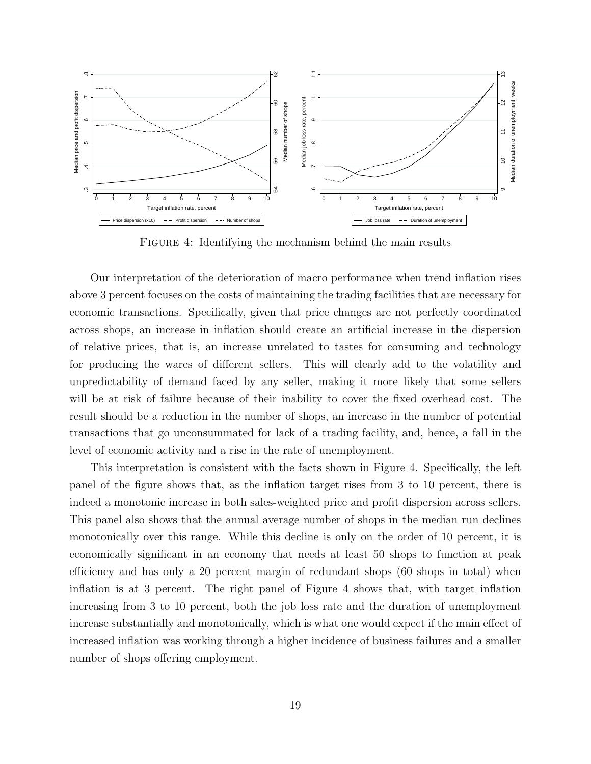<span id="page-19-0"></span>

FIGURE 4: Identifying the mechanism behind the main results

Our interpretation of the deterioration of macro performance when trend inflation rises above 3 percent focuses on the costs of maintaining the trading facilities that are necessary for economic transactions. Specifically, given that price changes are not perfectly coordinated across shops, an increase in inflation should create an artificial increase in the dispersion of relative prices, that is, an increase unrelated to tastes for consuming and technology for producing the wares of different sellers. This will clearly add to the volatility and unpredictability of demand faced by any seller, making it more likely that some sellers will be at risk of failure because of their inability to cover the fixed overhead cost. The result should be a reduction in the number of shops, an increase in the number of potential transactions that go unconsummated for lack of a trading facility, and, hence, a fall in the level of economic activity and a rise in the rate of unemployment.

This interpretation is consistent with the facts shown in Figure [4.](#page-19-0) Specifically, the left panel of the figure shows that, as the inflation target rises from 3 to 10 percent, there is indeed a monotonic increase in both sales-weighted price and profit dispersion across sellers. This panel also shows that the annual average number of shops in the median run declines monotonically over this range. While this decline is only on the order of 10 percent, it is economically significant in an economy that needs at least 50 shops to function at peak efficiency and has only a 20 percent margin of redundant shops (60 shops in total) when inflation is at 3 percent. The right panel of Figure [4](#page-19-0) shows that, with target inflation increasing from 3 to 10 percent, both the job loss rate and the duration of unemployment increase substantially and monotonically, which is what one would expect if the main effect of increased inflation was working through a higher incidence of business failures and a smaller number of shops offering employment.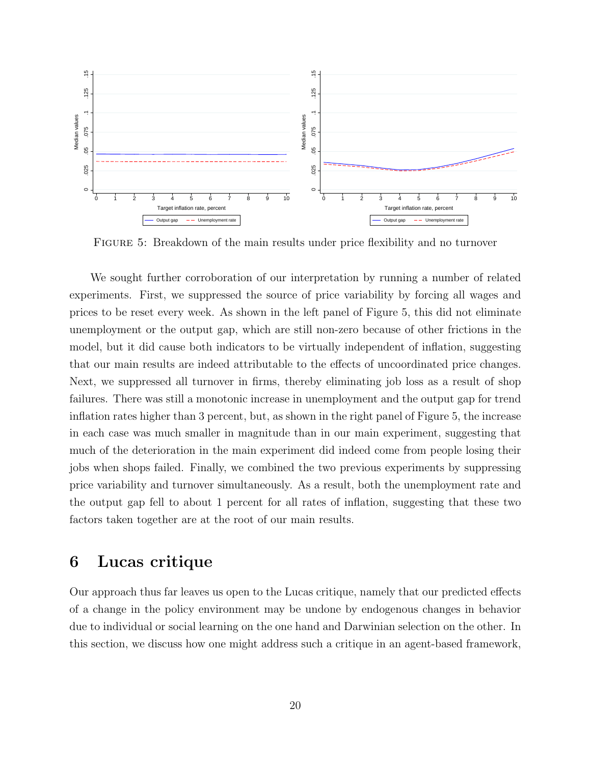<span id="page-20-1"></span>

Figure 5: Breakdown of the main results under price flexibility and no turnover

We sought further corroboration of our interpretation by running a number of related experiments. First, we suppressed the source of price variability by forcing all wages and prices to be reset every week. As shown in the left panel of Figure [5,](#page-20-1) this did not eliminate unemployment or the output gap, which are still non-zero because of other frictions in the model, but it did cause both indicators to be virtually independent of inflation, suggesting that our main results are indeed attributable to the effects of uncoordinated price changes. Next, we suppressed all turnover in firms, thereby eliminating job loss as a result of shop failures. There was still a monotonic increase in unemployment and the output gap for trend inflation rates higher than 3 percent, but, as shown in the right panel of Figure [5,](#page-20-1) the increase in each case was much smaller in magnitude than in our main experiment, suggesting that much of the deterioration in the main experiment did indeed come from people losing their jobs when shops failed. Finally, we combined the two previous experiments by suppressing price variability and turnover simultaneously. As a result, both the unemployment rate and the output gap fell to about 1 percent for all rates of inflation, suggesting that these two factors taken together are at the root of our main results.

## <span id="page-20-0"></span>6 Lucas critique

Our approach thus far leaves us open to the Lucas critique, namely that our predicted effects of a change in the policy environment may be undone by endogenous changes in behavior due to individual or social learning on the one hand and Darwinian selection on the other. In this section, we discuss how one might address such a critique in an agent-based framework,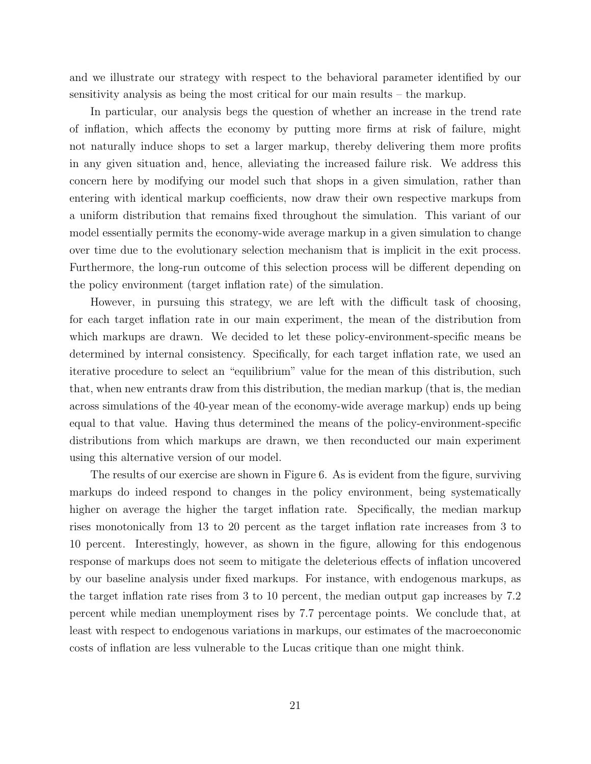and we illustrate our strategy with respect to the behavioral parameter identified by our sensitivity analysis as being the most critical for our main results – the markup.

In particular, our analysis begs the question of whether an increase in the trend rate of inflation, which affects the economy by putting more firms at risk of failure, might not naturally induce shops to set a larger markup, thereby delivering them more profits in any given situation and, hence, alleviating the increased failure risk. We address this concern here by modifying our model such that shops in a given simulation, rather than entering with identical markup coefficients, now draw their own respective markups from a uniform distribution that remains fixed throughout the simulation. This variant of our model essentially permits the economy-wide average markup in a given simulation to change over time due to the evolutionary selection mechanism that is implicit in the exit process. Furthermore, the long-run outcome of this selection process will be different depending on the policy environment (target inflation rate) of the simulation.

However, in pursuing this strategy, we are left with the difficult task of choosing, for each target inflation rate in our main experiment, the mean of the distribution from which markups are drawn. We decided to let these policy-environment-specific means be determined by internal consistency. Specifically, for each target inflation rate, we used an iterative procedure to select an "equilibrium" value for the mean of this distribution, such that, when new entrants draw from this distribution, the median markup (that is, the median across simulations of the 40-year mean of the economy-wide average markup) ends up being equal to that value. Having thus determined the means of the policy-environment-specific distributions from which markups are drawn, we then reconducted our main experiment using this alternative version of our model.

The results of our exercise are shown in Figure [6.](#page-22-1) As is evident from the figure, surviving markups do indeed respond to changes in the policy environment, being systematically higher on average the higher the target inflation rate. Specifically, the median markup rises monotonically from 13 to 20 percent as the target inflation rate increases from 3 to 10 percent. Interestingly, however, as shown in the figure, allowing for this endogenous response of markups does not seem to mitigate the deleterious effects of inflation uncovered by our baseline analysis under fixed markups. For instance, with endogenous markups, as the target inflation rate rises from 3 to 10 percent, the median output gap increases by 7.2 percent while median unemployment rises by 7.7 percentage points. We conclude that, at least with respect to endogenous variations in markups, our estimates of the macroeconomic costs of inflation are less vulnerable to the Lucas critique than one might think.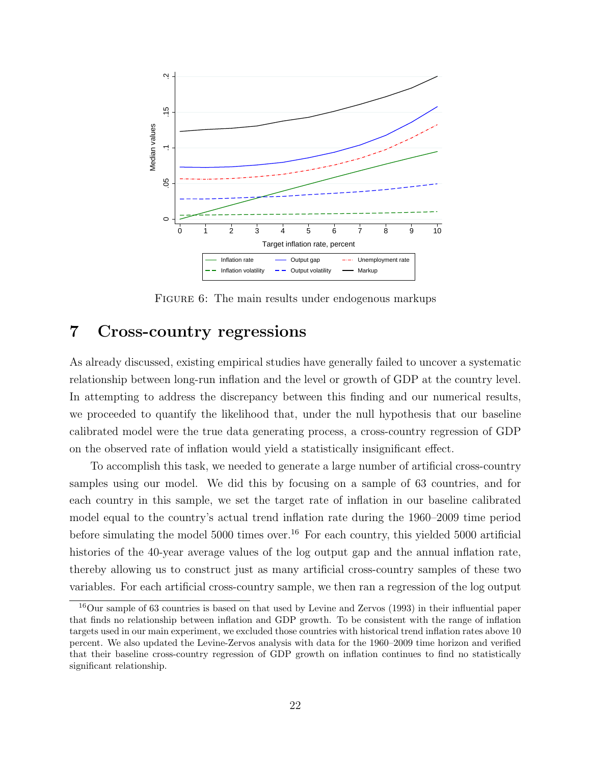<span id="page-22-1"></span>

FIGURE 6: The main results under endogenous markups

# <span id="page-22-0"></span>7 Cross-country regressions

As already discussed, existing empirical studies have generally failed to uncover a systematic relationship between long-run inflation and the level or growth of GDP at the country level. In attempting to address the discrepancy between this finding and our numerical results, we proceeded to quantify the likelihood that, under the null hypothesis that our baseline calibrated model were the true data generating process, a cross-country regression of GDP on the observed rate of inflation would yield a statistically insignificant effect.

To accomplish this task, we needed to generate a large number of artificial cross-country samples using our model. We did this by focusing on a sample of 63 countries, and for each country in this sample, we set the target rate of inflation in our baseline calibrated model equal to the country's actual trend inflation rate during the 1960–2009 time period before simulating the model  $5000$  times over.<sup>[16](#page-22-2)</sup> For each country, this yielded  $5000$  artificial histories of the 40-year average values of the log output gap and the annual inflation rate, thereby allowing us to construct just as many artificial cross-country samples of these two variables. For each artificial cross-country sample, we then ran a regression of the log output

<span id="page-22-2"></span><sup>16</sup>Our sample of 63 countries is based on that used by Levine and Zervos (1993) in their influential paper that finds no relationship between inflation and GDP growth. To be consistent with the range of inflation targets used in our main experiment, we excluded those countries with historical trend inflation rates above 10 percent. We also updated the Levine-Zervos analysis with data for the 1960–2009 time horizon and verified that their baseline cross-country regression of GDP growth on inflation continues to find no statistically significant relationship.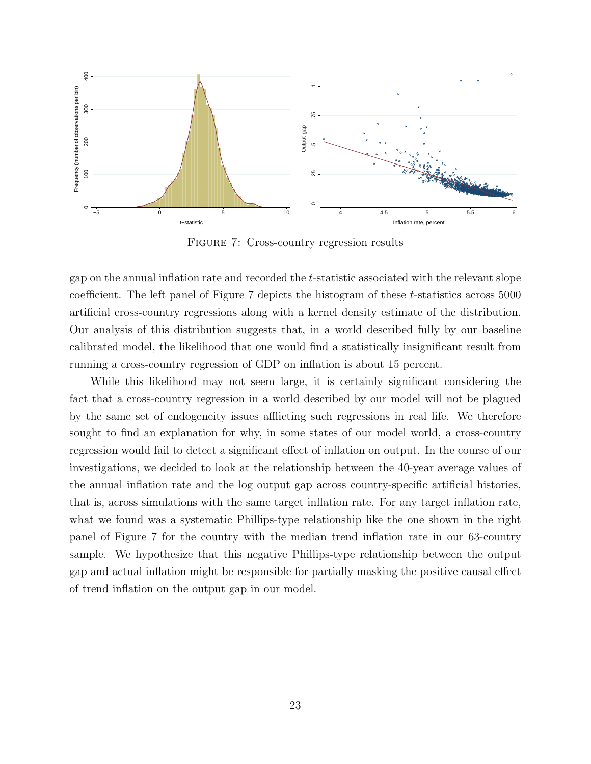<span id="page-23-0"></span>

Figure 7: Cross-country regression results

gap on the annual inflation rate and recorded the t-statistic associated with the relevant slope coefficient. The left panel of Figure [7](#page-23-0) depicts the histogram of these t-statistics across 5000 artificial cross-country regressions along with a kernel density estimate of the distribution. Our analysis of this distribution suggests that, in a world described fully by our baseline calibrated model, the likelihood that one would find a statistically insignificant result from running a cross-country regression of GDP on inflation is about 15 percent.

While this likelihood may not seem large, it is certainly significant considering the fact that a cross-country regression in a world described by our model will not be plagued by the same set of endogeneity issues afflicting such regressions in real life. We therefore sought to find an explanation for why, in some states of our model world, a cross-country regression would fail to detect a significant effect of inflation on output. In the course of our investigations, we decided to look at the relationship between the 40-year average values of the annual inflation rate and the log output gap across country-specific artificial histories, that is, across simulations with the same target inflation rate. For any target inflation rate, what we found was a systematic Phillips-type relationship like the one shown in the right panel of Figure [7](#page-23-0) for the country with the median trend inflation rate in our 63-country sample. We hypothesize that this negative Phillips-type relationship between the output gap and actual inflation might be responsible for partially masking the positive causal effect of trend inflation on the output gap in our model.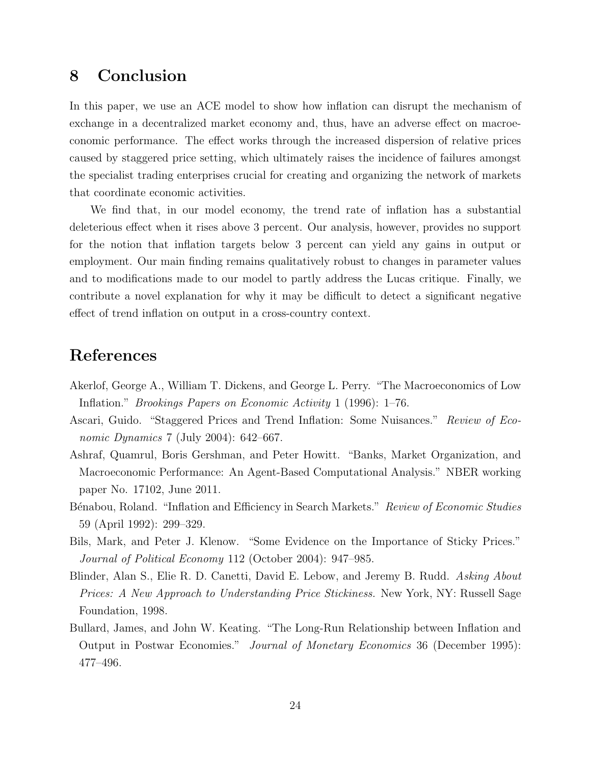# <span id="page-24-0"></span>8 Conclusion

In this paper, we use an ACE model to show how inflation can disrupt the mechanism of exchange in a decentralized market economy and, thus, have an adverse effect on macroeconomic performance. The effect works through the increased dispersion of relative prices caused by staggered price setting, which ultimately raises the incidence of failures amongst the specialist trading enterprises crucial for creating and organizing the network of markets that coordinate economic activities.

We find that, in our model economy, the trend rate of inflation has a substantial deleterious effect when it rises above 3 percent. Our analysis, however, provides no support for the notion that inflation targets below 3 percent can yield any gains in output or employment. Our main finding remains qualitatively robust to changes in parameter values and to modifications made to our model to partly address the Lucas critique. Finally, we contribute a novel explanation for why it may be difficult to detect a significant negative effect of trend inflation on output in a cross-country context.

## References

- Akerlof, George A., William T. Dickens, and George L. Perry. "The Macroeconomics of Low Inflation." Brookings Papers on Economic Activity 1 (1996): 1–76.
- Ascari, Guido. "Staggered Prices and Trend Inflation: Some Nuisances." Review of Economic Dynamics 7 (July 2004): 642–667.
- Ashraf, Quamrul, Boris Gershman, and Peter Howitt. "Banks, Market Organization, and Macroeconomic Performance: An Agent-Based Computational Analysis." NBER working paper No. 17102, June 2011.
- Bénabou, Roland. "Inflation and Efficiency in Search Markets." Review of Economic Studies 59 (April 1992): 299–329.
- Bils, Mark, and Peter J. Klenow. "Some Evidence on the Importance of Sticky Prices." Journal of Political Economy 112 (October 2004): 947–985.
- Blinder, Alan S., Elie R. D. Canetti, David E. Lebow, and Jeremy B. Rudd. Asking About Prices: A New Approach to Understanding Price Stickiness. New York, NY: Russell Sage Foundation, 1998.
- Bullard, James, and John W. Keating. "The Long-Run Relationship between Inflation and Output in Postwar Economies." Journal of Monetary Economics 36 (December 1995): 477–496.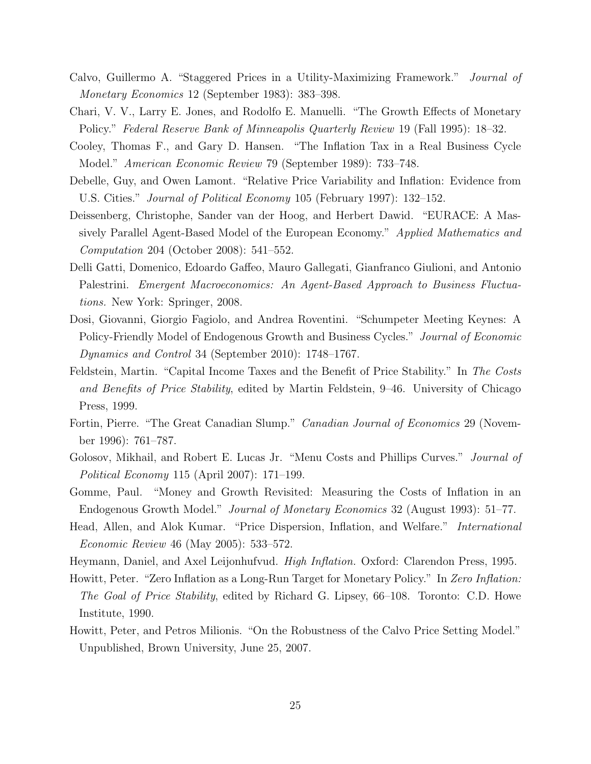- Calvo, Guillermo A. "Staggered Prices in a Utility-Maximizing Framework." Journal of Monetary Economics 12 (September 1983): 383–398.
- Chari, V. V., Larry E. Jones, and Rodolfo E. Manuelli. "The Growth Effects of Monetary Policy." Federal Reserve Bank of Minneapolis Quarterly Review 19 (Fall 1995): 18–32.
- Cooley, Thomas F., and Gary D. Hansen. "The Inflation Tax in a Real Business Cycle Model." American Economic Review 79 (September 1989): 733–748.
- Debelle, Guy, and Owen Lamont. "Relative Price Variability and Inflation: Evidence from U.S. Cities." Journal of Political Economy 105 (February 1997): 132–152.
- Deissenberg, Christophe, Sander van der Hoog, and Herbert Dawid. "EURACE: A Massively Parallel Agent-Based Model of the European Economy." Applied Mathematics and Computation 204 (October 2008): 541–552.
- Delli Gatti, Domenico, Edoardo Gaffeo, Mauro Gallegati, Gianfranco Giulioni, and Antonio Palestrini. Emergent Macroeconomics: An Agent-Based Approach to Business Fluctuations. New York: Springer, 2008.
- Dosi, Giovanni, Giorgio Fagiolo, and Andrea Roventini. "Schumpeter Meeting Keynes: A Policy-Friendly Model of Endogenous Growth and Business Cycles." Journal of Economic Dynamics and Control 34 (September 2010): 1748–1767.
- Feldstein, Martin. "Capital Income Taxes and the Benefit of Price Stability." In The Costs and Benefits of Price Stability, edited by Martin Feldstein, 9–46. University of Chicago Press, 1999.
- Fortin, Pierre. "The Great Canadian Slump." *Canadian Journal of Economics* 29 (November 1996): 761–787.
- Golosov, Mikhail, and Robert E. Lucas Jr. "Menu Costs and Phillips Curves." *Journal of* Political Economy 115 (April 2007): 171–199.
- Gomme, Paul. "Money and Growth Revisited: Measuring the Costs of Inflation in an Endogenous Growth Model." Journal of Monetary Economics 32 (August 1993): 51–77.
- Head, Allen, and Alok Kumar. "Price Dispersion, Inflation, and Welfare." International Economic Review 46 (May 2005): 533–572.
- Heymann, Daniel, and Axel Leijonhufvud. High Inflation. Oxford: Clarendon Press, 1995.
- Howitt, Peter. "Zero Inflation as a Long-Run Target for Monetary Policy." In Zero Inflation: The Goal of Price Stability, edited by Richard G. Lipsey, 66–108. Toronto: C.D. Howe Institute, 1990.
- Howitt, Peter, and Petros Milionis. "On the Robustness of the Calvo Price Setting Model." Unpublished, Brown University, June 25, 2007.